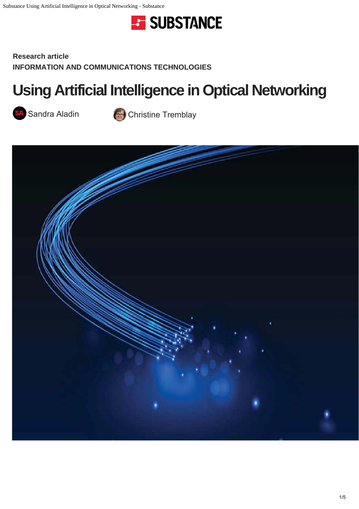

**Research article INFORMATION AND COMMUNICATIONS TECHNOLOGIES**

# **[Using Artificial Intelligence in O](https://substance.etsmtl.ca/en/https://substance.etsmtl.ca//?post_type=categories&p=240)ptical Networking**



Sandra Aladin Company Christine Tremblay

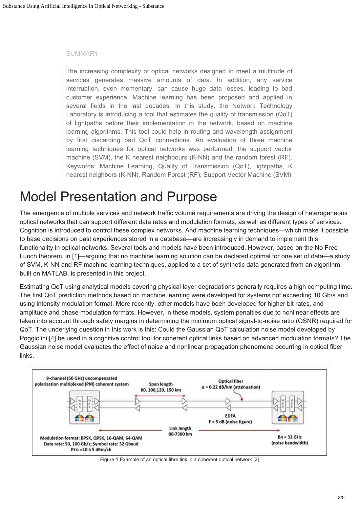#### SUMMARY

The increasing complexity of optical networks designed to meet a multitude of services generates massive amounts of data. In addition, any service interruption, even momentary, can cause huge data losses, leading to bad customer experience. Machine learning has been proposed and applied in several fields in the last decades. In this study, the Network Technology Laboratory is introducing a tool that estimates the quality of transmission (QoT) of lightpaths before their implementation in the network, based on machine learning algorithms. This tool could help in routing and wavelength assignment by first discarding bad QoT connections. An evaluation of three machine learning techniques for optical networks was performed: the support vector machine (SVM), the K nearest neighbours (K-NN) and the random forest (RF). Keywords: Machine Learning, Quality of Transmission (QoT), lightpaths, K nearest neighbors (K-NN), Random Forest (RF), Support Vector Machine (SVM)

#### Model Presentation and Purpose

The emergence of multiple services and network traffic volume requirements are driving the design of heterogeneous optical networks that can support different data rates and modulation formats, as well as different types of services. Cognition is introduced to control these complex networks. And machine learning techniques—which make it possible to base decisions on past experiences stored in a database—are increasingly in demand to implement this functionality in optical networks. Several tools and models have been introduced. However, based on the No Free Lunch theorem, in [1]—arguing that no machine learning solution can be declared optimal for one set of data—a study of SVM, K-NN and RF machine learning techniques, applied to a set of synthetic data generated from an algorithm built on MATLAB, is presented in this project.

Estimating QoT using analytical models covering physical layer degradations generally requires a high computing time. The first QoT prediction methods based on machine learning were developed for systems not exceeding 10 Gb/s and using intensity modulation format. More recently, other models have been developed for higher bit rates, and amplitude and phase modulation formats. However, in these models, system penalties due to nonlinear effects are taken into account through safety margins in determining the minimum optical signal-to-noise ratio (OSNR) required for QoT. The underlying question in this work is this: Could the Gaussian QoT calculation noise model developed by Poggiolini [4] be used in a cognitive control tool for coherent optical links based on advanced modulation formats? The Gaussian noise model evaluates the effect of noise and nonlinear propagation phenomena occurring in optical fiber links.



Figure 1 Example of an optical fibre link in a coherent optical network [2]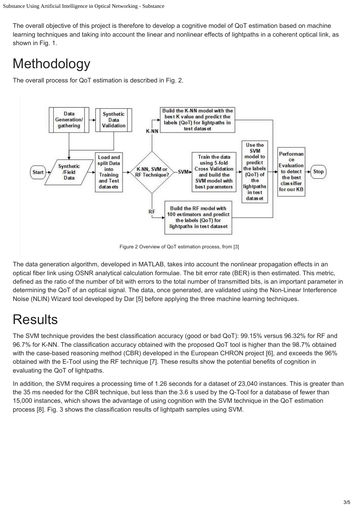The overall objective of this project is therefore to develop a cognitive model of QoT estimation based on machine learning techniques and taking into account the linear and nonlinear effects of lightpaths in a coherent optical link, as shown in Fig. 1.

## Methodology

The overall process for QoT estimation is described in Fig. 2.



Figure 2 Overview of QoT estimation process, from [3]

The data generation algorithm, developed in MATLAB, takes into account the nonlinear propagation effects in an optical fiber link using OSNR analytical calculation formulae. The bit error rate (BER) is then estimated. This metric, defined as the ratio of the number of bit with errors to the total number of transmitted bits, is an important parameter in determining the QoT of an optical signal. The data, once generated, are validated using the Non-Linear Interference Noise (NLIN) Wizard tool developed by Dar [5] before applying the three machine learning techniques.

### **Results**

The SVM technique provides the best classification accuracy (good or bad QoT): 99.15% versus 96.32% for RF and 96.7% for K-NN. The classification accuracy obtained with the proposed QoT tool is higher than the 98.7% obtained with the case-based reasoning method (CBR) developed in the European CHRON project [6], and exceeds the 96% obtained with the E-Tool using the RF technique [7]. These results show the potential benefits of cognition in evaluating the QoT of lightpaths.

In addition, the SVM requires a processing time of 1.26 seconds for a dataset of 23,040 instances. This is greater than the 35 ms needed for the CBR technique, but less than the 3.6 s used by the Q-Tool for a database of fewer than 15,000 instances, which shows the advantage of using cognition with the SVM technique in the QoT estimation process [8]. Fig. 3 shows the classification results of lightpath samples using SVM.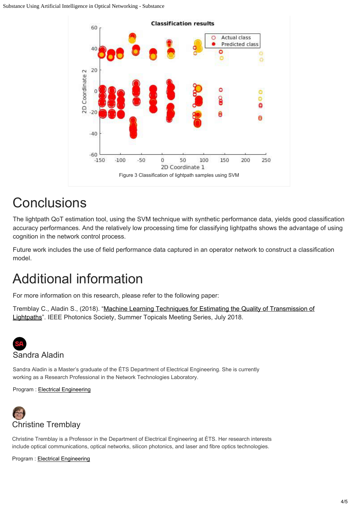

### **Conclusions**

The lightpath QoT estimation tool, using the SVM technique with synthetic performance data, yields good classification accuracy performances. And the relatively low processing time for classifying lightpaths shows the advantage of using cognition in the network control process.

Future work includes the use of field performance data captured in an operator network to construct a classification model.

### Additional information

For more information on this research, please refer to the following paper:

Tremblay C., Aladin S., (2018). ["Machine Learning Techniques for Estimating the Quality of Transmission of](https://ieeexplore.ieee.org/iel7/8360560/8385616/08385772.pdf) [Lightpaths](https://ieeexplore.ieee.org/iel7/8360560/8385616/08385772.pdf)". IEEE Photonics Society, Summer Topicals Meeting Series, July 2018.



Sandra Aladin is a Master's graduate of the ÉTS Department of Electrical Engineering. She is currently working as a Research Professional in the Network Technologies Laboratory.

Program : Electrical Engineering



Christine [Tremblay is a Professo](https://substance.etsmtl.ca/en/https://substance.etsmtl.ca//?post_type=programmes&p=167)r in the Department of Electrical Engineering at ÉTS. Her research interests include optical communications, optical networks, silicon photonics, and laser and fibre optics technologies.

[Program : Ele](https://substance.etsmtl.ca/author/sandra-aladin)ctrical Engineering